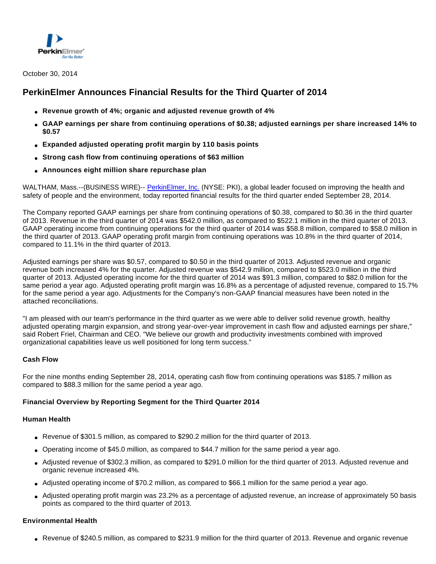

# **PerkinElmer Announces Financial Results for the Third Quarter of 2014**

- **Revenue growth of 4%; organic and adjusted revenue growth of 4%**
- **GAAP earnings per share from continuing operations of \$0.38; adjusted earnings per share increased 14% to \$0.57**
- **Expanded adjusted operating profit margin by 110 basis points**
- **Strong cash flow from continuing operations of \$63 million**
- **Announces eight million share repurchase plan**

WALTHAM, Mass.--(BUSINESS WIRE)-- [PerkinElmer, Inc.](http://cts.businesswire.com/ct/CT?id=smartlink&url=http%3A%2F%2Fwww.perkinelmer.com&esheet=50970126&newsitemid=20141030006617&lan=en-US&anchor=PerkinElmer%2C+Inc.&index=1&md5=3a4c65b3340f17a00d0547f30e4e6c35) (NYSE: PKI), a global leader focused on improving the health and safety of people and the environment, today reported financial results for the third quarter ended September 28, 2014.

The Company reported GAAP earnings per share from continuing operations of \$0.38, compared to \$0.36 in the third quarter of 2013. Revenue in the third quarter of 2014 was \$542.0 million, as compared to \$522.1 million in the third quarter of 2013. GAAP operating income from continuing operations for the third quarter of 2014 was \$58.8 million, compared to \$58.0 million in the third quarter of 2013. GAAP operating profit margin from continuing operations was 10.8% in the third quarter of 2014, compared to 11.1% in the third quarter of 2013.

Adjusted earnings per share was \$0.57, compared to \$0.50 in the third quarter of 2013. Adjusted revenue and organic revenue both increased 4% for the quarter. Adjusted revenue was \$542.9 million, compared to \$523.0 million in the third quarter of 2013. Adjusted operating income for the third quarter of 2014 was \$91.3 million, compared to \$82.0 million for the same period a year ago. Adjusted operating profit margin was 16.8% as a percentage of adjusted revenue, compared to 15.7% for the same period a year ago. Adjustments for the Company's non-GAAP financial measures have been noted in the attached reconciliations.

"I am pleased with our team's performance in the third quarter as we were able to deliver solid revenue growth, healthy adjusted operating margin expansion, and strong year-over-year improvement in cash flow and adjusted earnings per share," said Robert Friel, Chairman and CEO. "We believe our growth and productivity investments combined with improved organizational capabilities leave us well positioned for long term success."

#### **Cash Flow**

For the nine months ending September 28, 2014, operating cash flow from continuing operations was \$185.7 million as compared to \$88.3 million for the same period a year ago.

#### **Financial Overview by Reporting Segment for the Third Quarter 2014**

#### **Human Health**

- Revenue of \$301.5 million, as compared to \$290.2 million for the third quarter of 2013.
- Operating income of \$45.0 million, as compared to \$44.7 million for the same period a year ago.
- Adjusted revenue of \$302.3 million, as compared to \$291.0 million for the third quarter of 2013. Adjusted revenue and organic revenue increased 4%.
- Adjusted operating income of \$70.2 million, as compared to \$66.1 million for the same period a year ago.
- Adjusted operating profit margin was 23.2% as a percentage of adjusted revenue, an increase of approximately 50 basis points as compared to the third quarter of 2013.

#### **Environmental Health**

● Revenue of \$240.5 million, as compared to \$231.9 million for the third quarter of 2013. Revenue and organic revenue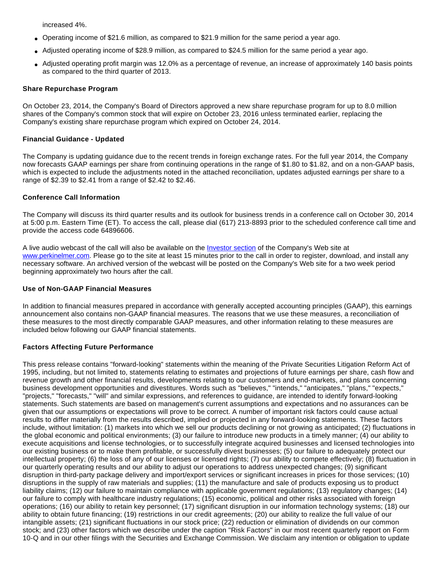increased 4%.

- Operating income of \$21.6 million, as compared to \$21.9 million for the same period a year ago.
- Adjusted operating income of \$28.9 million, as compared to \$24.5 million for the same period a year ago.
- Adjusted operating profit margin was 12.0% as a percentage of revenue, an increase of approximately 140 basis points as compared to the third quarter of 2013.

### **Share Repurchase Program**

On October 23, 2014, the Company's Board of Directors approved a new share repurchase program for up to 8.0 million shares of the Company's common stock that will expire on October 23, 2016 unless terminated earlier, replacing the Company's existing share repurchase program which expired on October 24, 2014.

### **Financial Guidance - Updated**

The Company is updating guidance due to the recent trends in foreign exchange rates. For the full year 2014, the Company now forecasts GAAP earnings per share from continuing operations in the range of \$1.80 to \$1.82, and on a non-GAAP basis, which is expected to include the adjustments noted in the attached reconciliation, updates adjusted earnings per share to a range of \$2.39 to \$2.41 from a range of \$2.42 to \$2.46.

# **Conference Call Information**

The Company will discuss its third quarter results and its outlook for business trends in a conference call on October 30, 2014 at 5:00 p.m. Eastern Time (ET). To access the call, please dial (617) 213-8893 prior to the scheduled conference call time and provide the access code 64896606.

A live audio webcast of the call will also be available on the [Investor section](http://cts.businesswire.com/ct/CT?id=smartlink&url=http%3A%2F%2Fwww.perkinelmer.com%2Fourcompany%2Finvestors%2Fdefault.xhtml&esheet=50970126&newsitemid=20141030006617&lan=en-US&anchor=Investor+section&index=2&md5=76ad5a595f37dea357de165f7316c63e) of the Company's Web site at [www.perkinelmer.com.](http://cts.businesswire.com/ct/CT?id=smartlink&url=http%3A%2F%2Fwww.perkinelmer.com&esheet=50970126&newsitemid=20141030006617&lan=en-US&anchor=www.perkinelmer.com&index=3&md5=715006d65e6a9b56b1a9e843cf6fc733) Please go to the site at least 15 minutes prior to the call in order to register, download, and install any necessary software. An archived version of the webcast will be posted on the Company's Web site for a two week period beginning approximately two hours after the call.

#### **Use of Non-GAAP Financial Measures**

In addition to financial measures prepared in accordance with generally accepted accounting principles (GAAP), this earnings announcement also contains non-GAAP financial measures. The reasons that we use these measures, a reconciliation of these measures to the most directly comparable GAAP measures, and other information relating to these measures are included below following our GAAP financial statements.

# **Factors Affecting Future Performance**

This press release contains "forward-looking" statements within the meaning of the Private Securities Litigation Reform Act of 1995, including, but not limited to, statements relating to estimates and projections of future earnings per share, cash flow and revenue growth and other financial results, developments relating to our customers and end-markets, and plans concerning business development opportunities and divestitures. Words such as "believes," "intends," "anticipates," "plans," "expects," "projects," "forecasts," "will" and similar expressions, and references to guidance, are intended to identify forward-looking statements. Such statements are based on management's current assumptions and expectations and no assurances can be given that our assumptions or expectations will prove to be correct. A number of important risk factors could cause actual results to differ materially from the results described, implied or projected in any forward-looking statements. These factors include, without limitation: (1) markets into which we sell our products declining or not growing as anticipated; (2) fluctuations in the global economic and political environments; (3) our failure to introduce new products in a timely manner; (4) our ability to execute acquisitions and license technologies, or to successfully integrate acquired businesses and licensed technologies into our existing business or to make them profitable, or successfully divest businesses; (5) our failure to adequately protect our intellectual property; (6) the loss of any of our licenses or licensed rights; (7) our ability to compete effectively; (8) fluctuation in our quarterly operating results and our ability to adjust our operations to address unexpected changes; (9) significant disruption in third-party package delivery and import/export services or significant increases in prices for those services; (10) disruptions in the supply of raw materials and supplies; (11) the manufacture and sale of products exposing us to product liability claims; (12) our failure to maintain compliance with applicable government regulations; (13) regulatory changes; (14) our failure to comply with healthcare industry regulations; (15) economic, political and other risks associated with foreign operations; (16) our ability to retain key personnel; (17) significant disruption in our information technology systems; (18) our ability to obtain future financing; (19) restrictions in our credit agreements; (20) our ability to realize the full value of our intangible assets; (21) significant fluctuations in our stock price; (22) reduction or elimination of dividends on our common stock; and (23) other factors which we describe under the caption "Risk Factors" in our most recent quarterly report on Form 10-Q and in our other filings with the Securities and Exchange Commission. We disclaim any intention or obligation to update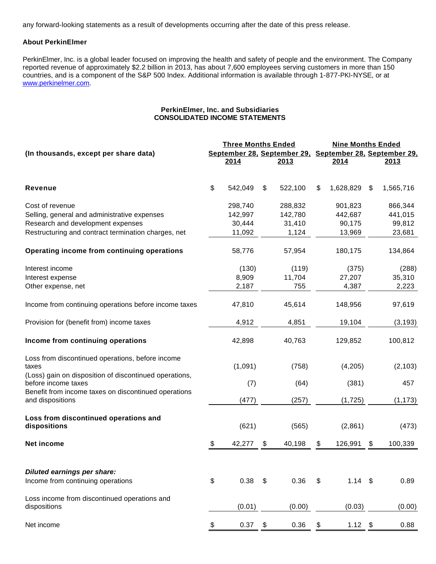any forward-looking statements as a result of developments occurring after the date of this press release.

#### **About PerkinElmer**

PerkinElmer, Inc. is a global leader focused on improving the health and safety of people and the environment. The Company reported revenue of approximately \$2.2 billion in 2013, has about 7,600 employees serving customers in more than 150 countries, and is a component of the S&P 500 Index. Additional information is available through 1-877-PKI-NYSE, or at [www.perkinelmer.com.](http://cts.businesswire.com/ct/CT?id=smartlink&url=http%3A%2F%2Fwww.perkinelmer.com&esheet=50970126&newsitemid=20141030006617&lan=en-US&anchor=www.perkinelmer.com&index=4&md5=3b29dda7a76e2d232df3b4999a2f513d)

#### **PerkinElmer, Inc. and Subsidiaries CONSOLIDATED INCOME STATEMENTS**

|                                                                               | <b>Three Months Ended</b> |                |         | <b>Nine Months Ended</b>                                |           |    |           |  |  |
|-------------------------------------------------------------------------------|---------------------------|----------------|---------|---------------------------------------------------------|-----------|----|-----------|--|--|
| (In thousands, except per share data)                                         |                           |                |         | September 28, September 29, September 28, September 29, |           |    |           |  |  |
|                                                                               | 2014                      |                | 2013    |                                                         | 2014      |    | 2013      |  |  |
| <b>Revenue</b>                                                                | \$<br>542,049             | \$             | 522,100 | \$                                                      | 1,628,829 | \$ | 1,565,716 |  |  |
| Cost of revenue                                                               | 298,740                   |                | 288,832 |                                                         | 901,823   |    | 866,344   |  |  |
| Selling, general and administrative expenses                                  | 142,997                   |                | 142,780 |                                                         | 442,687   |    | 441,015   |  |  |
| Research and development expenses                                             | 30,444                    |                | 31,410  |                                                         | 90,175    |    | 99,812    |  |  |
| Restructuring and contract termination charges, net                           | 11,092                    |                | 1,124   |                                                         | 13,969    |    | 23,681    |  |  |
| Operating income from continuing operations                                   | 58,776                    |                | 57,954  |                                                         | 180,175   |    | 134,864   |  |  |
| Interest income                                                               | (130)                     |                | (119)   |                                                         | (375)     |    | (288)     |  |  |
| Interest expense                                                              | 8,909                     |                | 11,704  |                                                         | 27,207    |    | 35,310    |  |  |
| Other expense, net                                                            | 2,187                     |                | 755     |                                                         | 4,387     |    | 2,223     |  |  |
| Income from continuing operations before income taxes                         | 47,810                    |                | 45,614  |                                                         | 148,956   |    | 97,619    |  |  |
| Provision for (benefit from) income taxes                                     | 4,912                     |                | 4,851   |                                                         | 19,104    |    | (3, 193)  |  |  |
| Income from continuing operations                                             | 42,898                    |                | 40,763  |                                                         | 129,852   |    | 100,812   |  |  |
| Loss from discontinued operations, before income<br>taxes                     | (1,091)                   |                | (758)   |                                                         | (4,205)   |    | (2, 103)  |  |  |
| (Loss) gain on disposition of discontinued operations,<br>before income taxes | (7)                       |                | (64)    |                                                         | (381)     |    | 457       |  |  |
| Benefit from income taxes on discontinued operations<br>and dispositions      | (477)                     |                | (257)   |                                                         | (1,725)   |    | (1, 173)  |  |  |
| Loss from discontinued operations and<br>dispositions                         | (621)                     |                | (565)   |                                                         | (2,861)   |    | (473)     |  |  |
| Net income                                                                    | \$<br>42,277              | \$             | 40,198  | \$                                                      | 126,991   | \$ | 100,339   |  |  |
|                                                                               |                           |                |         |                                                         |           |    |           |  |  |
| <b>Diluted earnings per share:</b>                                            |                           |                |         |                                                         |           |    |           |  |  |
| Income from continuing operations                                             | \$<br>0.38                | $\mathfrak{P}$ | 0.36    | $\mathfrak{L}$                                          | $1.14$ \$ |    | 0.89      |  |  |
| Loss income from discontinued operations and<br>dispositions                  | (0.01)                    |                | (0.00)  |                                                         | (0.03)    |    | (0.00)    |  |  |
| Net income                                                                    | \$<br>0.37                | \$             | 0.36    | \$                                                      | $1.12$ \$ |    | 0.88      |  |  |
|                                                                               |                           |                |         |                                                         |           |    |           |  |  |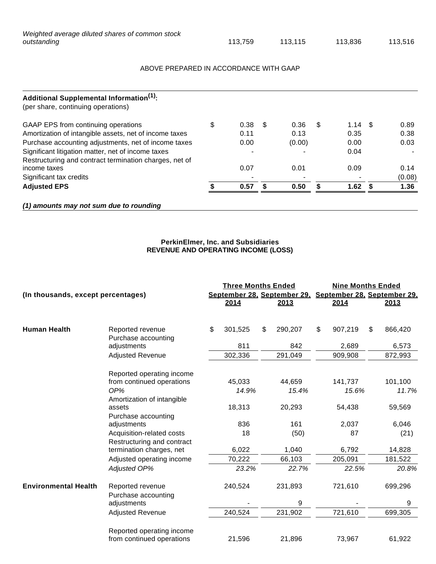| Weighted average diluted shares of common stock |         |         |         |         |
|-------------------------------------------------|---------|---------|---------|---------|
| outstanding                                     | 113.759 | 113.115 | 113.836 | 113.516 |

# ABOVE PREPARED IN ACCORDANCE WITH GAAP

| Additional Supplemental Information <sup>(1)</sup> :<br>(per share, continuing operations) |            |      |        |    |      |      |        |
|--------------------------------------------------------------------------------------------|------------|------|--------|----|------|------|--------|
| GAAP EPS from continuing operations                                                        | \$<br>0.38 | - \$ | 0.36   | \$ | 1.14 | - \$ | 0.89   |
| Amortization of intangible assets, net of income taxes                                     | 0.11       |      | 0.13   |    | 0.35 |      | 0.38   |
| Purchase accounting adjustments, net of income taxes                                       | 0.00       |      | (0.00) |    | 0.00 |      | 0.03   |
| Significant litigation matter, net of income taxes                                         |            |      |        |    | 0.04 |      |        |
| Restructuring and contract termination charges, net of                                     |            |      |        |    |      |      |        |
| income taxes                                                                               | 0.07       |      | 0.01   |    | 0.09 |      | 0.14   |
| Significant tax credits                                                                    |            |      |        |    |      |      | (0.08) |
| <b>Adjusted EPS</b>                                                                        | 0.57       |      | 0.50   | £. | 1.62 |      | 1.36   |
| (1) amounts may not sum due to rounding                                                    |            |      |        |    |      |      |        |

### **PerkinElmer, Inc. and Subsidiaries REVENUE AND OPERATING INCOME (LOSS)**

| (In thousands, except percentages) |                                                               | <b>Three Months Ended</b><br>September 28, September 29, September 28, September 29,<br>2014 | 2013            | <b>Nine Months Ended</b><br>2014 | <u>2013</u>      |
|------------------------------------|---------------------------------------------------------------|----------------------------------------------------------------------------------------------|-----------------|----------------------------------|------------------|
| <b>Human Health</b>                | Reported revenue<br>Purchase accounting                       | \$<br>301,525                                                                                | \$<br>290,207   | \$<br>907,219                    | \$<br>866,420    |
|                                    | adjustments                                                   | 811                                                                                          | 842             | 2,689                            | 6,573            |
|                                    | <b>Adjusted Revenue</b>                                       | 302,336                                                                                      | 291,049         | 909,908                          | 872,993          |
|                                    | Reported operating income<br>from continued operations<br>OP% | 45,033<br>14.9%                                                                              | 44,659<br>15.4% | 141,737<br>15.6%                 | 101,100<br>11.7% |
|                                    | Amortization of intangible<br>assets                          | 18,313                                                                                       | 20,293          | 54,438                           | 59,569           |
|                                    | Purchase accounting<br>adjustments                            | 836                                                                                          | 161             | 2,037                            | 6,046            |
|                                    | Acquisition-related costs<br>Restructuring and contract       | 18                                                                                           | (50)            | 87                               | (21)             |
|                                    | termination charges, net                                      | 6,022                                                                                        | 1,040           | 6,792                            | 14,828           |
|                                    | Adjusted operating income                                     | 70,222                                                                                       | 66,103          | 205,091                          | 181,522          |
|                                    | Adjusted OP%                                                  | 23.2%                                                                                        | 22.7%           | 22.5%                            | 20.8%            |
| <b>Environmental Health</b>        | Reported revenue<br>Purchase accounting                       | 240,524                                                                                      | 231,893         | 721,610                          | 699,296          |
|                                    | adjustments                                                   |                                                                                              | 9               |                                  | 9                |
|                                    | <b>Adjusted Revenue</b>                                       | 240,524                                                                                      | 231,902         | 721,610                          | 699,305          |
|                                    | Reported operating income<br>from continued operations        | 21,596                                                                                       | 21,896          | 73,967                           | 61,922           |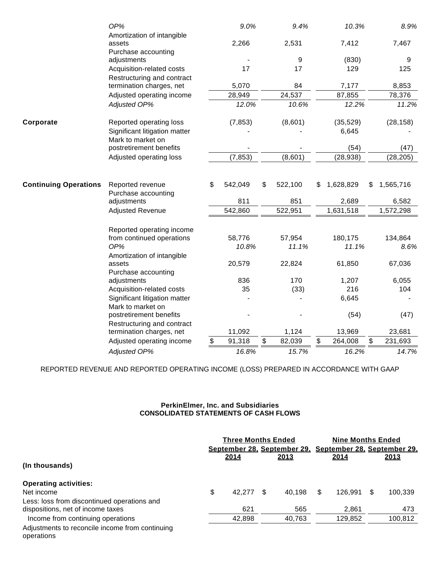|                              | OP%                                                    | 9.0%          |                 | 9.4%    | 10.3%           |                         | 8.9%      |
|------------------------------|--------------------------------------------------------|---------------|-----------------|---------|-----------------|-------------------------|-----------|
|                              | Amortization of intangible                             |               |                 |         |                 |                         |           |
|                              | assets                                                 | 2,266         |                 | 2,531   | 7,412           |                         | 7,467     |
|                              | Purchase accounting                                    |               |                 |         |                 |                         |           |
|                              | adjustments                                            |               |                 | 9       | (830)           |                         | 9         |
|                              | Acquisition-related costs                              | 17            |                 | 17      | 129             |                         | 125       |
|                              | Restructuring and contract<br>termination charges, net | 5,070         |                 | 84      | 7,177           |                         | 8,853     |
|                              | Adjusted operating income                              | 28,949        |                 | 24,537  | 87,855          |                         | 78,376    |
|                              | Adjusted OP%                                           | 12.0%         |                 | 10.6%   | 12.2%           |                         | 11.2%     |
| Corporate                    | Reported operating loss                                | (7, 853)      |                 | (8,601) | (35, 529)       |                         | (28, 158) |
|                              | Significant litigation matter<br>Mark to market on     |               |                 |         | 6,645           |                         |           |
|                              | postretirement benefits                                |               |                 |         | (54)            |                         | (47)      |
|                              | Adjusted operating loss                                | (7, 853)      |                 | (8,601) | (28, 938)       |                         | (28, 205) |
|                              |                                                        |               |                 |         |                 |                         |           |
| <b>Continuing Operations</b> | Reported revenue<br>Purchase accounting                | \$<br>542,049 | \$              | 522,100 | \$<br>1,628,829 | \$                      | 1,565,716 |
|                              | adjustments                                            | 811           |                 | 851     | 2,689           |                         | 6,582     |
|                              | Adjusted Revenue                                       | 542,860       |                 | 522,951 | 1,631,518       |                         | 1,572,298 |
|                              | Reported operating income                              |               |                 |         |                 |                         |           |
|                              | from continued operations                              | 58,776        |                 | 57,954  | 180,175         |                         | 134,864   |
|                              | OP%                                                    | 10.8%         |                 | 11.1%   | 11.1%           |                         | 8.6%      |
|                              | Amortization of intangible                             |               |                 |         |                 |                         |           |
|                              | assets                                                 | 20,579        |                 | 22,824  | 61,850          |                         | 67,036    |
|                              | Purchase accounting                                    |               |                 |         |                 |                         |           |
|                              | adjustments                                            | 836           |                 | 170     | 1,207           |                         | 6,055     |
|                              | Acquisition-related costs                              | 35            |                 | (33)    | 216             |                         | 104       |
|                              | Significant litigation matter                          |               |                 |         | 6,645           |                         |           |
|                              | Mark to market on<br>postretirement benefits           |               |                 |         | (54)            |                         | (47)      |
|                              | Restructuring and contract                             |               |                 |         |                 |                         |           |
|                              | termination charges, net                               | 11,092        |                 | 1,124   | 13,969          |                         | 23,681    |
|                              | Adjusted operating income                              | \$<br>91,318  | $\overline{\$}$ | 82,039  | \$<br>264,008   | $\overline{\mathbb{S}}$ | 231,693   |
|                              | <b>Adjusted OP%</b>                                    | 16.8%         |                 | 15.7%   | 16.2%           |                         | 14.7%     |

REPORTED REVENUE AND REPORTED OPERATING INCOME (LOSS) PREPARED IN ACCORDANCE WITH GAAP

# **PerkinElmer, Inc. and Subsidiaries CONSOLIDATED STATEMENTS OF CASH FLOWS**

|                                                               | <b>Three Months Ended</b> |   |        | <b>Nine Months Ended</b> |         |     |                                                         |  |
|---------------------------------------------------------------|---------------------------|---|--------|--------------------------|---------|-----|---------------------------------------------------------|--|
|                                                               |                           |   |        |                          |         |     | September 28, September 29, September 28, September 29, |  |
|                                                               | 2014                      |   | 2013   |                          | 2014    |     | 2013                                                    |  |
| (In thousands)                                                |                           |   |        |                          |         |     |                                                         |  |
| <b>Operating activities:</b>                                  |                           |   |        |                          |         |     |                                                         |  |
| Net income                                                    | \$<br>42.277              | S | 40.198 | \$                       | 126.991 | \$. | 100,339                                                 |  |
| Less: loss from discontinued operations and                   |                           |   |        |                          |         |     |                                                         |  |
| dispositions, net of income taxes                             | 621                       |   | 565    |                          | 2,861   |     | 473                                                     |  |
| Income from continuing operations                             | 42,898                    |   | 40,763 |                          | 129,852 |     | 100,812                                                 |  |
| Adjustments to reconcile income from continuing<br>operations |                           |   |        |                          |         |     |                                                         |  |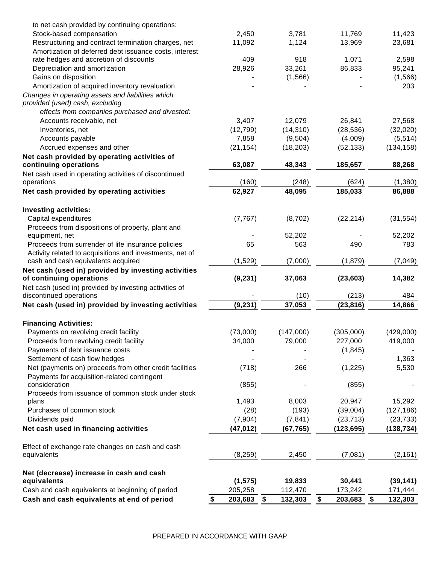| to net cash provided by continuing operations:           |               |               |               |                         |            |
|----------------------------------------------------------|---------------|---------------|---------------|-------------------------|------------|
| Stock-based compensation                                 | 2,450         | 3,781         | 11,769        |                         | 11,423     |
| Restructuring and contract termination charges, net      | 11,092        | 1,124         | 13,969        |                         | 23,681     |
| Amortization of deferred debt issuance costs, interest   |               |               |               |                         |            |
| rate hedges and accretion of discounts                   | 409           | 918           | 1,071         |                         | 2,598      |
| Depreciation and amortization                            | 28,926        | 33,261        | 86,833        |                         | 95,241     |
| Gains on disposition                                     |               | (1, 566)      |               |                         | (1, 566)   |
| Amortization of acquired inventory revaluation           |               |               |               |                         | 203        |
| Changes in operating assets and liabilities which        |               |               |               |                         |            |
| provided (used) cash, excluding                          |               |               |               |                         |            |
| effects from companies purchased and divested:           |               |               |               |                         |            |
| Accounts receivable, net                                 | 3,407         | 12,079        | 26,841        |                         | 27,568     |
| Inventories, net                                         | (12, 799)     | (14, 310)     | (28, 536)     |                         | (32,020)   |
| Accounts payable                                         | 7,858         | (9,504)       | (4,009)       |                         | (5, 514)   |
| Accrued expenses and other                               | (21, 154)     | (18, 203)     | (52, 133)     |                         | (134, 158) |
| Net cash provided by operating activities of             |               |               |               |                         |            |
| continuing operations                                    | 63,087        | 48,343        | 185,657       |                         | 88,268     |
| Net cash used in operating activities of discontinued    |               |               |               |                         |            |
| operations                                               | (160)         | (248)         | (624)         |                         | (1, 380)   |
| Net cash provided by operating activities                | 62,927        | 48,095        | 185,033       |                         | 86,888     |
|                                                          |               |               |               |                         |            |
| <b>Investing activities:</b>                             |               |               |               |                         |            |
| Capital expenditures                                     | (7, 767)      | (8,702)       | (22, 214)     |                         | (31, 554)  |
| Proceeds from dispositions of property, plant and        |               |               |               |                         |            |
| equipment, net                                           |               | 52,202        |               |                         | 52,202     |
| Proceeds from surrender of life insurance policies       | 65            | 563           | 490           |                         | 783        |
| Activity related to acquisitions and investments, net of |               |               |               |                         |            |
| cash and cash equivalents acquired                       | (1,529)       | (7,000)       | (1,879)       |                         | (7,049)    |
| Net cash (used in) provided by investing activities      |               |               |               |                         |            |
| of continuing operations                                 | (9, 231)      | 37,063        | (23, 603)     |                         | 14,382     |
| Net cash (used in) provided by investing activities of   |               |               |               |                         |            |
| discontinued operations                                  |               | (10)          | (213)         |                         | 484        |
| Net cash (used in) provided by investing activities      | (9, 231)      | 37,053        | (23, 816)     |                         | 14,866     |
|                                                          |               |               |               |                         |            |
| <b>Financing Activities:</b>                             |               |               |               |                         |            |
| Payments on revolving credit facility                    | (73,000)      | (147,000)     | (305,000)     |                         | (429,000)  |
| Proceeds from revolving credit facility                  | 34,000        | 79,000        | 227,000       |                         | 419,000    |
| Payments of debt issuance costs                          |               |               | (1, 845)      |                         |            |
| Settlement of cash flow hedges                           |               |               |               |                         | 1,363      |
| Net (payments on) proceeds from other credit facilities  | (718)         | 266           | (1, 225)      |                         | 5,530      |
| Payments for acquisition-related contingent              |               |               |               |                         |            |
| consideration                                            | (855)         |               | (855)         |                         |            |
| Proceeds from issuance of common stock under stock       |               |               |               |                         |            |
| plans                                                    | 1,493         | 8,003         | 20,947        |                         | 15,292     |
| Purchases of common stock                                | (28)          | (193)         | (39,004)      |                         | (127, 186) |
| Dividends paid                                           | (7,904)       | (7, 841)      | (23, 713)     |                         | (23, 733)  |
| Net cash used in financing activities                    | (47, 012)     | (67, 765)     | (123, 695)    |                         | (138, 734) |
|                                                          |               |               |               |                         |            |
| Effect of exchange rate changes on cash and cash         |               |               |               |                         |            |
| equivalents                                              | (8, 259)      | 2,450         | (7,081)       |                         | (2, 161)   |
|                                                          |               |               |               |                         |            |
| Net (decrease) increase in cash and cash                 |               |               |               |                         |            |
| equivalents                                              | (1, 575)      | 19,833        | 30,441        |                         | (39, 141)  |
| Cash and cash equivalents at beginning of period         | 205,258       | 112,470       | 173,242       |                         | 171,444    |
| Cash and cash equivalents at end of period               | \$<br>203,683 | \$<br>132,303 | \$<br>203,683 | $\sqrt[6]{\frac{1}{2}}$ | 132,303    |
|                                                          |               |               |               |                         |            |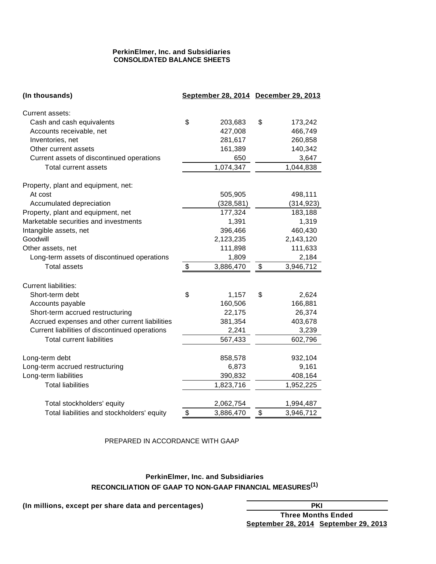# **PerkinElmer, Inc. and Subsidiaries CONSOLIDATED BALANCE SHEETS**

| (In thousands)                                 | September 28, 2014 December 29, 2013 |                 |
|------------------------------------------------|--------------------------------------|-----------------|
| Current assets:                                |                                      |                 |
| Cash and cash equivalents                      | \$<br>203,683                        | \$<br>173,242   |
| Accounts receivable, net                       | 427,008                              | 466,749         |
| Inventories, net                               | 281,617                              | 260,858         |
| Other current assets                           | 161,389                              | 140,342         |
| Current assets of discontinued operations      | 650                                  | 3,647           |
| Total current assets                           | 1,074,347                            | 1,044,838       |
| Property, plant and equipment, net:            |                                      |                 |
| At cost                                        | 505,905                              | 498,111         |
| Accumulated depreciation                       | (328, 581)                           | (314, 923)      |
| Property, plant and equipment, net             | 177,324                              | 183,188         |
| Marketable securities and investments          | 1,391                                | 1,319           |
| Intangible assets, net                         | 396,466                              | 460,430         |
| Goodwill                                       | 2,123,235                            | 2,143,120       |
| Other assets, net                              | 111,898                              | 111,633         |
| Long-term assets of discontinued operations    | 1,809                                | 2,184           |
| <b>Total assets</b>                            | \$<br>3,886,470                      | \$<br>3,946,712 |
| <b>Current liabilities:</b>                    |                                      |                 |
| Short-term debt                                | \$<br>1,157                          | \$<br>2,624     |
| Accounts payable                               | 160,506                              | 166,881         |
| Short-term accrued restructuring               | 22,175                               | 26,374          |
| Accrued expenses and other current liabilities | 381,354                              | 403,678         |
| Current liabilities of discontinued operations | 2,241                                | 3,239           |
| <b>Total current liabilities</b>               | 567,433                              | 602,796         |
| Long-term debt                                 | 858,578                              | 932,104         |
| Long-term accrued restructuring                | 6,873                                | 9,161           |
| Long-term liabilities                          | 390,832                              | 408,164         |
| <b>Total liabilities</b>                       | 1,823,716                            | 1,952,225       |
| Total stockholders' equity                     | 2,062,754                            | 1,994,487       |
| Total liabilities and stockholders' equity     | \$<br>3,886,470                      | \$<br>3,946,712 |

### PREPARED IN ACCORDANCE WITH GAAP

# **PerkinElmer, Inc. and Subsidiaries RECONCILIATION OF GAAP TO NON-GAAP FINANCIAL MEASURES(1)**

**(In millions, except per share data and percentages) PKI**

**Three Months Ended September 28, 2014 September 29, 2013**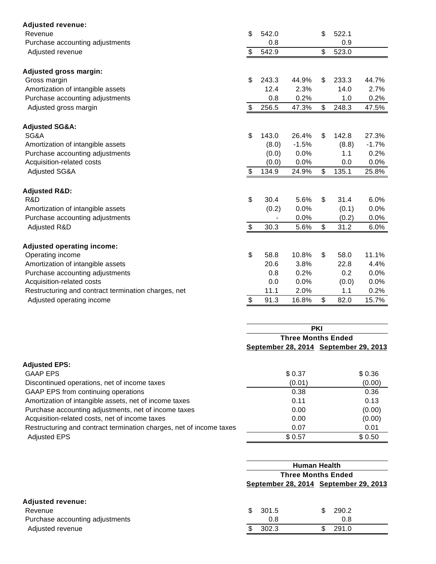| <b>Adjusted revenue:</b>                            |                           |            |                                                                    |              |       |         |  |  |
|-----------------------------------------------------|---------------------------|------------|--------------------------------------------------------------------|--------------|-------|---------|--|--|
| Revenue                                             | \$                        | 542.0      |                                                                    | \$           | 522.1 |         |  |  |
| Purchase accounting adjustments                     |                           | 0.8        |                                                                    |              | 0.9   |         |  |  |
| Adjusted revenue                                    | \$                        | 542.9      |                                                                    | \$           | 523.0 |         |  |  |
| <b>Adjusted gross margin:</b>                       |                           |            |                                                                    |              |       |         |  |  |
| Gross margin                                        | $\mathfrak{S}$            | 243.3      | 44.9%                                                              | \$           | 233.3 | 44.7%   |  |  |
| Amortization of intangible assets                   |                           | 12.4       | 2.3%                                                               |              | 14.0  | 2.7%    |  |  |
| Purchase accounting adjustments                     |                           | 0.8        | 0.2%                                                               |              | 1.0   | 0.2%    |  |  |
| Adjusted gross margin                               | \$                        | 256.5      | 47.3%                                                              | \$           | 248.3 | 47.5%   |  |  |
| <b>Adjusted SG&amp;A:</b>                           |                           |            |                                                                    |              |       |         |  |  |
| SG&A                                                | $\mathfrak{S}$            | 143.0      | 26.4%                                                              | \$           | 142.8 | 27.3%   |  |  |
| Amortization of intangible assets                   |                           | (8.0)      | $-1.5%$                                                            |              | (8.8) | $-1.7%$ |  |  |
| Purchase accounting adjustments                     |                           | (0.0)      | 0.0%                                                               |              | 1.1   | 0.2%    |  |  |
| Acquisition-related costs                           |                           | (0.0)      | 0.0%                                                               |              | 0.0   | 0.0%    |  |  |
| <b>Adjusted SG&amp;A</b>                            | $\boldsymbol{\mathsf{S}}$ | 134.9      | 24.9%                                                              | \$           | 135.1 | 25.8%   |  |  |
| <b>Adjusted R&amp;D:</b>                            |                           |            |                                                                    |              |       |         |  |  |
| R&D                                                 | $\mathfrak{S}$            | 30.4       | 5.6%                                                               | $\mathbb{S}$ | 31.4  | 6.0%    |  |  |
| Amortization of intangible assets                   |                           | (0.2)      | 0.0%                                                               |              | (0.1) | 0.0%    |  |  |
| Purchase accounting adjustments                     |                           |            | 0.0%                                                               |              | (0.2) | 0.0%    |  |  |
| Adjusted R&D                                        | \$                        | 30.3       | 5.6%                                                               | \$           | 31.2  | 6.0%    |  |  |
| <b>Adjusted operating income:</b>                   |                           |            |                                                                    |              |       |         |  |  |
| Operating income                                    | $\mathfrak{S}$            | 58.8       | 10.8%                                                              | \$           | 58.0  | 11.1%   |  |  |
| Amortization of intangible assets                   |                           | 20.6       | 3.8%                                                               |              | 22.8  | 4.4%    |  |  |
| Purchase accounting adjustments                     |                           | 0.8        | 0.2%                                                               |              | 0.2   | 0.0%    |  |  |
| Acquisition-related costs                           |                           | 0.0        | 0.0%                                                               |              | (0.0) | 0.0%    |  |  |
| Restructuring and contract termination charges, net |                           | 11.1       | 2.0%                                                               |              | 1.1   | 0.2%    |  |  |
| Adjusted operating income                           | \$                        | 91.3       | 16.8%                                                              | \$           | 82.0  | 15.7%   |  |  |
|                                                     |                           |            |                                                                    |              |       |         |  |  |
|                                                     |                           | <b>PKI</b> |                                                                    |              |       |         |  |  |
|                                                     |                           |            | <b>Three Months Ended</b><br>September 28, 2014 September 29, 2013 |              |       |         |  |  |
| Adjusted EDC.                                       |                           |            |                                                                    |              |       |         |  |  |

| <b>Adjusted EPS:</b>                                                |        |        |
|---------------------------------------------------------------------|--------|--------|
| <b>GAAP EPS</b>                                                     | \$0.37 | \$0.36 |
| Discontinued operations, net of income taxes                        | (0.01) | (0.00) |
| GAAP EPS from continuing operations                                 | 0.38   | 0.36   |
| Amortization of intangible assets, net of income taxes              | 0.11   | 0.13   |
| Purchase accounting adjustments, net of income taxes                | 0.00   | (0.00) |
| Acquisition-related costs, net of income taxes                      | 0.00   | (0.00) |
| Restructuring and contract termination charges, net of income taxes | 0.07   | 0.01   |
| <b>Adjusted EPS</b>                                                 | \$0.57 | \$0.50 |
|                                                                     |        |        |

|                                 |   | <b>Human Health</b>                   |  |             |  |  |  |  |  |
|---------------------------------|---|---------------------------------------|--|-------------|--|--|--|--|--|
|                                 |   | <b>Three Months Ended</b>             |  |             |  |  |  |  |  |
|                                 |   | September 28, 2014 September 29, 2013 |  |             |  |  |  |  |  |
| <b>Adjusted revenue:</b>        |   |                                       |  |             |  |  |  |  |  |
| Revenue                         | S | 301.5                                 |  | 290.2<br>S. |  |  |  |  |  |
| Purchase accounting adjustments |   | 0.8                                   |  | 0.8         |  |  |  |  |  |
| Adjusted revenue                |   | 302.3                                 |  | 291.0<br>S  |  |  |  |  |  |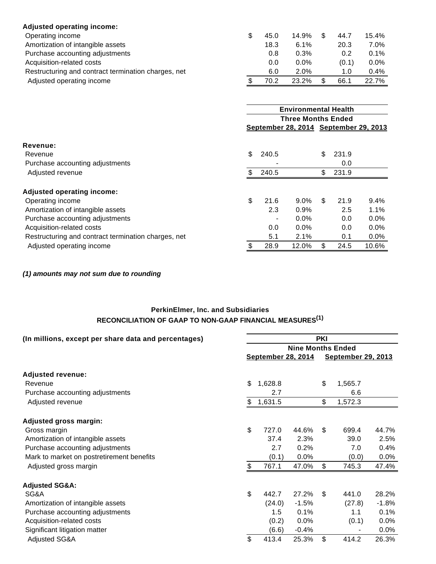| <b>Adjusted operating income:</b>                   |      |         |       |         |
|-----------------------------------------------------|------|---------|-------|---------|
| Operating income                                    | 45.0 | 14.9%   | 44.7  | 15.4%   |
| Amortization of intangible assets                   | 18.3 | 6.1%    | 20.3  | $7.0\%$ |
| Purchase accounting adjustments                     | 0.8  | 0.3%    | 0.2   | $0.1\%$ |
| Acquisition-related costs                           | 0.0  | $0.0\%$ | (0.1) | $0.0\%$ |
| Restructuring and contract termination charges, net | 6.0  | 2.0%    | 1.0   | $0.4\%$ |
| Adjusted operating income                           | 70.2 | 23.2%   | 66.1  | 22.7%   |

|                                                     |     | <b>Environmental Health</b><br><b>Three Months Ended</b> |         |     |       |                                       |  |
|-----------------------------------------------------|-----|----------------------------------------------------------|---------|-----|-------|---------------------------------------|--|
|                                                     |     |                                                          |         |     |       |                                       |  |
|                                                     |     |                                                          |         |     |       | September 28, 2014 September 29, 2013 |  |
| Revenue:                                            |     |                                                          |         |     |       |                                       |  |
| Revenue                                             | \$  | 240.5                                                    |         | \$  | 231.9 |                                       |  |
| Purchase accounting adjustments                     |     |                                                          |         |     | 0.0   |                                       |  |
| Adjusted revenue                                    | \$. | 240.5                                                    |         | \$  | 231.9 |                                       |  |
| <b>Adjusted operating income:</b>                   |     |                                                          |         |     |       |                                       |  |
| Operating income                                    | \$  | 21.6                                                     | $9.0\%$ | \$. | 21.9  | 9.4%                                  |  |
| Amortization of intangible assets                   |     | 2.3                                                      | 0.9%    |     | 2.5   | 1.1%                                  |  |
| Purchase accounting adjustments                     |     |                                                          | 0.0%    |     | 0.0   | 0.0%                                  |  |
| Acquisition-related costs                           |     | 0.0                                                      | $0.0\%$ |     | 0.0   | 0.0%                                  |  |
| Restructuring and contract termination charges, net |     | 5.1                                                      | 2.1%    |     | 0.1   | $0.0\%$                               |  |
| Adjusted operating income                           | \$  | 28.9                                                     | 12.0%   | \$  | 24.5  | 10.6%                                 |  |
|                                                     |     |                                                          |         |     |       |                                       |  |

**(1) amounts may not sum due to rounding**

# **PerkinElmer, Inc. and Subsidiaries RECONCILIATION OF GAAP TO NON-GAAP FINANCIAL MEASURES(1)**

| (In millions, except per share data and percentages) | <b>PKI</b> |                           |         |    |                           |         |  |  |
|------------------------------------------------------|------------|---------------------------|---------|----|---------------------------|---------|--|--|
|                                                      |            | <b>Nine Months Ended</b>  |         |    |                           |         |  |  |
|                                                      |            | <b>September 28, 2014</b> |         |    | <b>September 29, 2013</b> |         |  |  |
| <b>Adjusted revenue:</b>                             |            |                           |         |    |                           |         |  |  |
| Revenue                                              | \$         | 1,628.8                   |         | \$ | 1,565.7                   |         |  |  |
| Purchase accounting adjustments                      |            | 2.7                       |         |    | 6.6                       |         |  |  |
| Adjusted revenue                                     | \$         | 1,631.5                   |         | \$ | 1,572.3                   |         |  |  |
| Adjusted gross margin:                               |            |                           |         |    |                           |         |  |  |
| Gross margin                                         | \$         | 727.0                     | 44.6%   | \$ | 699.4                     | 44.7%   |  |  |
| Amortization of intangible assets                    |            | 37.4                      | 2.3%    |    | 39.0                      | 2.5%    |  |  |
| Purchase accounting adjustments                      |            | 2.7                       | 0.2%    |    | 7.0                       | 0.4%    |  |  |
| Mark to market on postretirement benefits            |            | (0.1)                     | 0.0%    |    | (0.0)                     | 0.0%    |  |  |
| Adjusted gross margin                                | \$         | 767.1                     | 47.0%   | \$ | 745.3                     | 47.4%   |  |  |
| <b>Adjusted SG&amp;A:</b>                            |            |                           |         |    |                           |         |  |  |
| SG&A                                                 | \$         | 442.7                     | 27.2%   | \$ | 441.0                     | 28.2%   |  |  |
| Amortization of intangible assets                    |            | (24.0)                    | $-1.5%$ |    | (27.8)                    | $-1.8%$ |  |  |
| Purchase accounting adjustments                      |            | 1.5                       | 0.1%    |    | 1.1                       | 0.1%    |  |  |
| Acquisition-related costs                            |            | (0.2)                     | 0.0%    |    | (0.1)                     | $0.0\%$ |  |  |
| Significant litigation matter                        |            | (6.6)                     | $-0.4%$ |    |                           | $0.0\%$ |  |  |
| <b>Adjusted SG&amp;A</b>                             | \$         | 413.4                     | 25.3%   | \$ | 414.2                     | 26.3%   |  |  |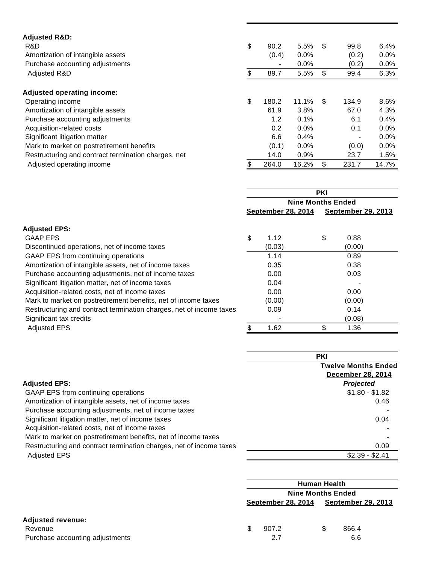| <b>Adjusted R&amp;D:</b><br>R&D<br>Amortization of intangible assets<br>Purchase accounting adjustments | \$<br>90.2<br>(0.4)<br>$\blacksquare$ | 5.5%<br>0.0%<br>0.0% | -\$ | 99.8<br>(0.2)<br>(0.2)   | 6.4%<br>$0.0\%$<br>0.0% |
|---------------------------------------------------------------------------------------------------------|---------------------------------------|----------------------|-----|--------------------------|-------------------------|
| Adjusted R&D                                                                                            | \$<br>89.7                            | 5.5%                 | \$  | 99.4                     | 6.3%                    |
| <b>Adjusted operating income:</b>                                                                       |                                       |                      |     |                          |                         |
| Operating income                                                                                        | \$<br>180.2                           | 11.1%                | \$  | 134.9                    | 8.6%                    |
| Amortization of intangible assets                                                                       | 61.9                                  | 3.8%                 |     | 67.0                     | 4.3%                    |
| Purchase accounting adjustments                                                                         | 1.2                                   | 0.1%                 |     | 6.1                      | 0.4%                    |
| Acquisition-related costs                                                                               | 0.2                                   | 0.0%                 |     | 0.1                      | $0.0\%$                 |
| Significant litigation matter                                                                           | 6.6                                   | 0.4%                 |     | $\overline{\phantom{a}}$ | $0.0\%$                 |
| Mark to market on postretirement benefits                                                               | (0.1)                                 | 0.0%                 |     | (0.0)                    | $0.0\%$                 |
| Restructuring and contract termination charges, net                                                     | 14.0                                  | 0.9%                 |     | 23.7                     | 1.5%                    |
| Adjusted operating income                                                                               | 264.0                                 | 16.2%                | \$  | 231.7                    | 14.7%                   |

|                                                                     | <b>PKI</b><br><b>Nine Months Ended</b> |        |                           |        |  |
|---------------------------------------------------------------------|----------------------------------------|--------|---------------------------|--------|--|
|                                                                     |                                        |        |                           |        |  |
|                                                                     | <b>September 28, 2014</b>              |        | <b>September 29, 2013</b> |        |  |
| <b>Adjusted EPS:</b>                                                |                                        |        |                           |        |  |
| <b>GAAP EPS</b>                                                     | \$                                     | 1.12   | \$                        | 0.88   |  |
| Discontinued operations, net of income taxes                        |                                        | (0.03) |                           | (0.00) |  |
| GAAP EPS from continuing operations                                 |                                        | 1.14   |                           | 0.89   |  |
| Amortization of intangible assets, net of income taxes              |                                        | 0.35   |                           | 0.38   |  |
| Purchase accounting adjustments, net of income taxes                |                                        | 0.00   |                           | 0.03   |  |
| Significant litigation matter, net of income taxes                  |                                        | 0.04   |                           |        |  |
| Acquisition-related costs, net of income taxes                      |                                        | 0.00   |                           | 0.00   |  |
| Mark to market on postretirement benefits, net of income taxes      |                                        | (0.00) |                           | (0.00) |  |
| Restructuring and contract termination charges, net of income taxes |                                        | 0.09   |                           | 0.14   |  |
| Significant tax credits                                             |                                        |        |                           | (0.08) |  |
| <b>Adjusted EPS</b>                                                 |                                        | 1.62   | \$                        | 1.36   |  |

|                                                                     | <b>PKI</b>                                             |
|---------------------------------------------------------------------|--------------------------------------------------------|
|                                                                     | <b>Twelve Months Ended</b><br><b>December 28, 2014</b> |
| <b>Adjusted EPS:</b>                                                | <b>Projected</b>                                       |
| GAAP EPS from continuing operations                                 | $$1.80 - $1.82$                                        |
| Amortization of intangible assets, net of income taxes              | 0.46                                                   |
| Purchase accounting adjustments, net of income taxes                |                                                        |
| Significant litigation matter, net of income taxes                  | 0.04                                                   |
| Acquisition-related costs, net of income taxes                      |                                                        |
| Mark to market on postretirement benefits, net of income taxes      |                                                        |
| Restructuring and contract termination charges, net of income taxes | 0.09                                                   |
| <b>Adjusted EPS</b>                                                 | $$2.39 - $2.41$                                        |

|                                 | <b>Human Health</b>       |   |                           |  |  |
|---------------------------------|---------------------------|---|---------------------------|--|--|
|                                 | <b>Nine Months Ended</b>  |   |                           |  |  |
|                                 | <b>September 28, 2014</b> |   | <b>September 29, 2013</b> |  |  |
| <b>Adjusted revenue:</b>        |                           |   |                           |  |  |
| Revenue                         | 907.2                     | S | 866.4                     |  |  |
| Purchase accounting adjustments | 2.7                       |   | 6.6                       |  |  |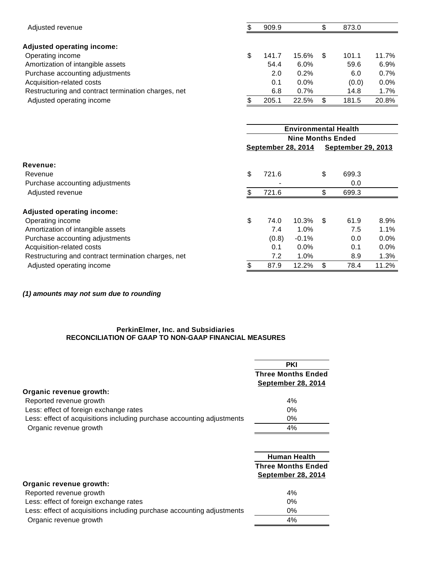| Adjusted revenue                                    |   | 909.9 |       | \$ | 873.0 |         |
|-----------------------------------------------------|---|-------|-------|----|-------|---------|
| <b>Adjusted operating income:</b>                   |   |       |       |    |       |         |
| Operating income                                    | S | 141.7 | 15.6% | S  | 101.1 | 11.7%   |
| Amortization of intangible assets                   |   | 54.4  | 6.0%  |    | 59.6  | 6.9%    |
| Purchase accounting adjustments                     |   | 2.0   | 0.2%  |    | 6.0   | 0.7%    |
| Acquisition-related costs                           |   | 0.1   | 0.0%  |    | (0.0) | $0.0\%$ |
| Restructuring and contract termination charges, net |   | 6.8   | 0.7%  |    | 14.8  | $1.7\%$ |
| Adjusted operating income                           |   | 205.1 | 22.5% | \$ | 181.5 | 20.8%   |

|                                                     | <b>Environmental Health</b><br><b>Nine Months Ended</b> |       |         |     |                           |       |
|-----------------------------------------------------|---------------------------------------------------------|-------|---------|-----|---------------------------|-------|
|                                                     |                                                         |       |         |     |                           |       |
|                                                     | <b>September 28, 2014</b>                               |       |         |     | <u>September 29, 2013</u> |       |
| Revenue:                                            |                                                         |       |         |     |                           |       |
| Revenue                                             | \$                                                      | 721.6 |         | \$  | 699.3                     |       |
| Purchase accounting adjustments                     |                                                         |       |         |     | 0.0                       |       |
| Adjusted revenue                                    | \$.                                                     | 721.6 |         | \$  | 699.3                     |       |
| <b>Adjusted operating income:</b>                   |                                                         |       |         |     |                           |       |
| Operating income                                    | \$                                                      | 74.0  | 10.3%   | -\$ | 61.9                      | 8.9%  |
| Amortization of intangible assets                   |                                                         | 7.4   | 1.0%    |     | 7.5                       | 1.1%  |
| Purchase accounting adjustments                     |                                                         | (0.8) | $-0.1%$ |     | 0.0                       | 0.0%  |
| Acquisition-related costs                           |                                                         | 0.1   | $0.0\%$ |     | 0.1                       | 0.0%  |
| Restructuring and contract termination charges, net |                                                         | 7.2   | $1.0\%$ |     | 8.9                       | 1.3%  |
| Adjusted operating income                           | \$                                                      | 87.9  | 12.2%   | \$  | 78.4                      | 11.2% |

**(1) amounts may not sum due to rounding**

#### **PerkinElmer, Inc. and Subsidiaries RECONCILIATION OF GAAP TO NON-GAAP FINANCIAL MEASURES**

|                                                                        | <b>PKI</b>                                             |
|------------------------------------------------------------------------|--------------------------------------------------------|
|                                                                        | <b>Three Months Ended</b><br><b>September 28, 2014</b> |
| Organic revenue growth:                                                |                                                        |
| Reported revenue growth                                                | 4%                                                     |
| Less: effect of foreign exchange rates                                 | 0%                                                     |
| Less: effect of acquisitions including purchase accounting adjustments | $0\%$                                                  |
| Organic revenue growth                                                 | 4%                                                     |

|                                                                        | <b>Human Health</b><br><b>Three Months Ended</b><br><b>September 28, 2014</b> |
|------------------------------------------------------------------------|-------------------------------------------------------------------------------|
| Organic revenue growth:                                                |                                                                               |
| Reported revenue growth                                                | $4\%$                                                                         |
| Less: effect of foreign exchange rates                                 | 0%                                                                            |
| Less: effect of acquisitions including purchase accounting adjustments | 0%                                                                            |
| Organic revenue growth                                                 | 4%                                                                            |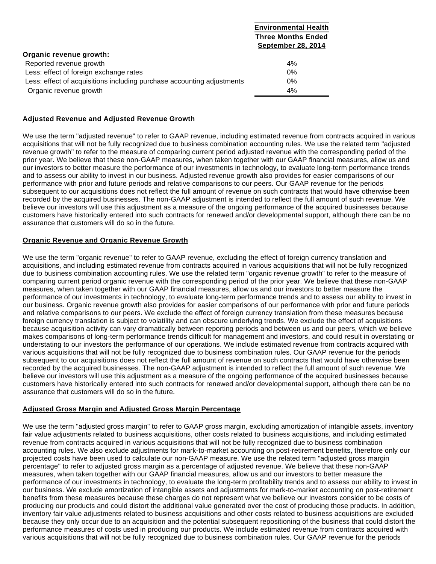|                                                                        | Environmental Health      |
|------------------------------------------------------------------------|---------------------------|
|                                                                        | <b>Three Months Ended</b> |
|                                                                        | <b>September 28, 2014</b> |
| Organic revenue growth:                                                |                           |
| Reported revenue growth                                                | 4%                        |
| Less: effect of foreign exchange rates                                 | $0\%$                     |
| Less: effect of acquisitions including purchase accounting adjustments | $0\%$                     |
| Organic revenue growth                                                 | 4%                        |
|                                                                        |                           |

# **Adjusted Revenue and Adjusted Revenue Growth**

We use the term "adjusted revenue" to refer to GAAP revenue, including estimated revenue from contracts acquired in various acquisitions that will not be fully recognized due to business combination accounting rules. We use the related term "adjusted revenue growth" to refer to the measure of comparing current period adjusted revenue with the corresponding period of the prior year. We believe that these non-GAAP measures, when taken together with our GAAP financial measures, allow us and our investors to better measure the performance of our investments in technology, to evaluate long-term performance trends and to assess our ability to invest in our business. Adjusted revenue growth also provides for easier comparisons of our performance with prior and future periods and relative comparisons to our peers. Our GAAP revenue for the periods subsequent to our acquisitions does not reflect the full amount of revenue on such contracts that would have otherwise been recorded by the acquired businesses. The non-GAAP adjustment is intended to reflect the full amount of such revenue. We believe our investors will use this adjustment as a measure of the ongoing performance of the acquired businesses because customers have historically entered into such contracts for renewed and/or developmental support, although there can be no assurance that customers will do so in the future.

**Environmental Health**

# **Organic Revenue and Organic Revenue Growth**

We use the term "organic revenue" to refer to GAAP revenue, excluding the effect of foreign currency translation and acquisitions, and including estimated revenue from contracts acquired in various acquisitions that will not be fully recognized due to business combination accounting rules. We use the related term "organic revenue growth" to refer to the measure of comparing current period organic revenue with the corresponding period of the prior year. We believe that these non-GAAP measures, when taken together with our GAAP financial measures, allow us and our investors to better measure the performance of our investments in technology, to evaluate long-term performance trends and to assess our ability to invest in our business. Organic revenue growth also provides for easier comparisons of our performance with prior and future periods and relative comparisons to our peers. We exclude the effect of foreign currency translation from these measures because foreign currency translation is subject to volatility and can obscure underlying trends. We exclude the effect of acquisitions because acquisition activity can vary dramatically between reporting periods and between us and our peers, which we believe makes comparisons of long-term performance trends difficult for management and investors, and could result in overstating or understating to our investors the performance of our operations. We include estimated revenue from contracts acquired with various acquisitions that will not be fully recognized due to business combination rules. Our GAAP revenue for the periods subsequent to our acquisitions does not reflect the full amount of revenue on such contracts that would have otherwise been recorded by the acquired businesses. The non-GAAP adjustment is intended to reflect the full amount of such revenue. We believe our investors will use this adjustment as a measure of the ongoing performance of the acquired businesses because customers have historically entered into such contracts for renewed and/or developmental support, although there can be no assurance that customers will do so in the future.

# **Adjusted Gross Margin and Adjusted Gross Margin Percentage**

We use the term "adjusted gross margin" to refer to GAAP gross margin, excluding amortization of intangible assets, inventory fair value adjustments related to business acquisitions, other costs related to business acquisitions, and including estimated revenue from contracts acquired in various acquisitions that will not be fully recognized due to business combination accounting rules. We also exclude adjustments for mark-to-market accounting on post-retirement benefits, therefore only our projected costs have been used to calculate our non-GAAP measure. We use the related term "adjusted gross margin percentage" to refer to adjusted gross margin as a percentage of adjusted revenue. We believe that these non-GAAP measures, when taken together with our GAAP financial measures, allow us and our investors to better measure the performance of our investments in technology, to evaluate the long-term profitability trends and to assess our ability to invest in our business. We exclude amortization of intangible assets and adjustments for mark-to-market accounting on post-retirement benefits from these measures because these charges do not represent what we believe our investors consider to be costs of producing our products and could distort the additional value generated over the cost of producing those products. In addition, inventory fair value adjustments related to business acquisitions and other costs related to business acquisitions are excluded because they only occur due to an acquisition and the potential subsequent repositioning of the business that could distort the performance measures of costs used in producing our products. We include estimated revenue from contracts acquired with various acquisitions that will not be fully recognized due to business combination rules. Our GAAP revenue for the periods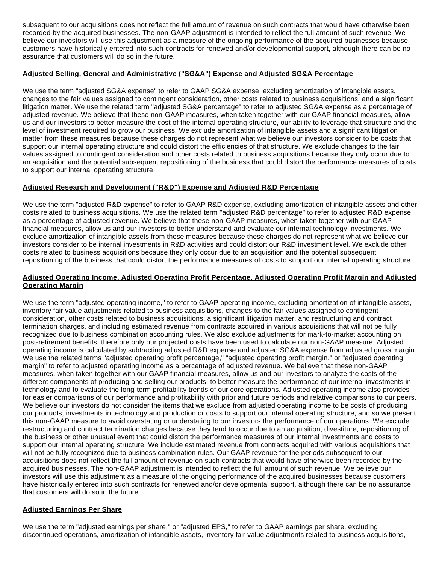subsequent to our acquisitions does not reflect the full amount of revenue on such contracts that would have otherwise been recorded by the acquired businesses. The non-GAAP adjustment is intended to reflect the full amount of such revenue. We believe our investors will use this adjustment as a measure of the ongoing performance of the acquired businesses because customers have historically entered into such contracts for renewed and/or developmental support, although there can be no assurance that customers will do so in the future.

# **Adjusted Selling, General and Administrative ("SG&A") Expense and Adjusted SG&A Percentage**

We use the term "adjusted SG&A expense" to refer to GAAP SG&A expense, excluding amortization of intangible assets, changes to the fair values assigned to contingent consideration, other costs related to business acquisitions, and a significant litigation matter. We use the related term "adjusted SG&A percentage" to refer to adjusted SG&A expense as a percentage of adjusted revenue. We believe that these non-GAAP measures, when taken together with our GAAP financial measures, allow us and our investors to better measure the cost of the internal operating structure, our ability to leverage that structure and the level of investment required to grow our business. We exclude amortization of intangible assets and a significant litigation matter from these measures because these charges do not represent what we believe our investors consider to be costs that support our internal operating structure and could distort the efficiencies of that structure. We exclude changes to the fair values assigned to contingent consideration and other costs related to business acquisitions because they only occur due to an acquisition and the potential subsequent repositioning of the business that could distort the performance measures of costs to support our internal operating structure.

# **Adjusted Research and Development ("R&D") Expense and Adjusted R&D Percentage**

We use the term "adjusted R&D expense" to refer to GAAP R&D expense, excluding amortization of intangible assets and other costs related to business acquisitions. We use the related term "adjusted R&D percentage" to refer to adjusted R&D expense as a percentage of adjusted revenue. We believe that these non-GAAP measures, when taken together with our GAAP financial measures, allow us and our investors to better understand and evaluate our internal technology investments. We exclude amortization of intangible assets from these measures because these charges do not represent what we believe our investors consider to be internal investments in R&D activities and could distort our R&D investment level. We exclude other costs related to business acquisitions because they only occur due to an acquisition and the potential subsequent repositioning of the business that could distort the performance measures of costs to support our internal operating structure.

### **Adjusted Operating Income, Adjusted Operating Profit Percentage, Adjusted Operating Profit Margin and Adjusted Operating Margin**

We use the term "adjusted operating income," to refer to GAAP operating income, excluding amortization of intangible assets, inventory fair value adjustments related to business acquisitions, changes to the fair values assigned to contingent consideration, other costs related to business acquisitions, a significant litigation matter, and restructuring and contract termination charges, and including estimated revenue from contracts acquired in various acquisitions that will not be fully recognized due to business combination accounting rules. We also exclude adjustments for mark-to-market accounting on post-retirement benefits, therefore only our projected costs have been used to calculate our non-GAAP measure. Adjusted operating income is calculated by subtracting adjusted R&D expense and adjusted SG&A expense from adjusted gross margin. We use the related terms "adjusted operating profit percentage," "adjusted operating profit margin," or "adjusted operating margin" to refer to adjusted operating income as a percentage of adjusted revenue. We believe that these non-GAAP measures, when taken together with our GAAP financial measures, allow us and our investors to analyze the costs of the different components of producing and selling our products, to better measure the performance of our internal investments in technology and to evaluate the long-term profitability trends of our core operations. Adjusted operating income also provides for easier comparisons of our performance and profitability with prior and future periods and relative comparisons to our peers. We believe our investors do not consider the items that we exclude from adjusted operating income to be costs of producing our products, investments in technology and production or costs to support our internal operating structure, and so we present this non-GAAP measure to avoid overstating or understating to our investors the performance of our operations. We exclude restructuring and contract termination charges because they tend to occur due to an acquisition, divestiture, repositioning of the business or other unusual event that could distort the performance measures of our internal investments and costs to support our internal operating structure. We include estimated revenue from contracts acquired with various acquisitions that will not be fully recognized due to business combination rules. Our GAAP revenue for the periods subsequent to our acquisitions does not reflect the full amount of revenue on such contracts that would have otherwise been recorded by the acquired businesses. The non-GAAP adjustment is intended to reflect the full amount of such revenue. We believe our investors will use this adjustment as a measure of the ongoing performance of the acquired businesses because customers have historically entered into such contracts for renewed and/or developmental support, although there can be no assurance that customers will do so in the future.

# **Adjusted Earnings Per Share**

We use the term "adjusted earnings per share," or "adjusted EPS," to refer to GAAP earnings per share, excluding discontinued operations, amortization of intangible assets, inventory fair value adjustments related to business acquisitions,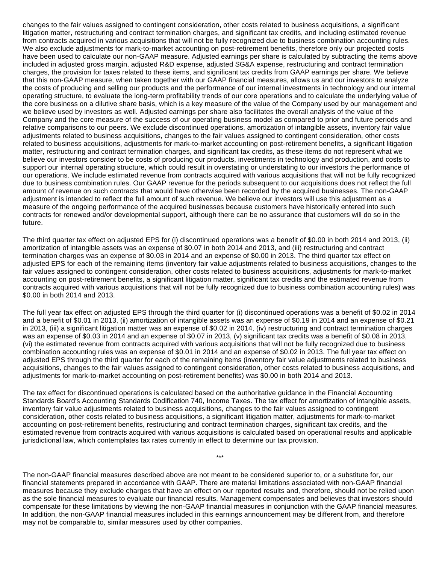changes to the fair values assigned to contingent consideration, other costs related to business acquisitions, a significant litigation matter, restructuring and contract termination charges, and significant tax credits, and including estimated revenue from contracts acquired in various acquisitions that will not be fully recognized due to business combination accounting rules. We also exclude adjustments for mark-to-market accounting on post-retirement benefits, therefore only our projected costs have been used to calculate our non-GAAP measure. Adjusted earnings per share is calculated by subtracting the items above included in adjusted gross margin, adjusted R&D expense, adjusted SG&A expense, restructuring and contract termination charges, the provision for taxes related to these items, and significant tax credits from GAAP earnings per share. We believe that this non-GAAP measure, when taken together with our GAAP financial measures, allows us and our investors to analyze the costs of producing and selling our products and the performance of our internal investments in technology and our internal operating structure, to evaluate the long-term profitability trends of our core operations and to calculate the underlying value of the core business on a dilutive share basis, which is a key measure of the value of the Company used by our management and we believe used by investors as well. Adjusted earnings per share also facilitates the overall analysis of the value of the Company and the core measure of the success of our operating business model as compared to prior and future periods and relative comparisons to our peers. We exclude discontinued operations, amortization of intangible assets, inventory fair value adjustments related to business acquisitions, changes to the fair values assigned to contingent consideration, other costs related to business acquisitions, adjustments for mark-to-market accounting on post-retirement benefits, a significant litigation matter, restructuring and contract termination charges, and significant tax credits, as these items do not represent what we believe our investors consider to be costs of producing our products, investments in technology and production, and costs to support our internal operating structure, which could result in overstating or understating to our investors the performance of our operations. We include estimated revenue from contracts acquired with various acquisitions that will not be fully recognized due to business combination rules. Our GAAP revenue for the periods subsequent to our acquisitions does not reflect the full amount of revenue on such contracts that would have otherwise been recorded by the acquired businesses. The non-GAAP adjustment is intended to reflect the full amount of such revenue. We believe our investors will use this adjustment as a measure of the ongoing performance of the acquired businesses because customers have historically entered into such contracts for renewed and/or developmental support, although there can be no assurance that customers will do so in the future.

The third quarter tax effect on adjusted EPS for (i) discontinued operations was a benefit of \$0.00 in both 2014 and 2013, (ii) amortization of intangible assets was an expense of \$0.07 in both 2014 and 2013, and (iii) restructuring and contract termination charges was an expense of \$0.03 in 2014 and an expense of \$0.00 in 2013. The third quarter tax effect on adjusted EPS for each of the remaining items (inventory fair value adjustments related to business acquisitions, changes to the fair values assigned to contingent consideration, other costs related to business acquisitions, adjustments for mark-to-market accounting on post-retirement benefits, a significant litigation matter, significant tax credits and the estimated revenue from contracts acquired with various acquisitions that will not be fully recognized due to business combination accounting rules) was \$0.00 in both 2014 and 2013.

The full year tax effect on adjusted EPS through the third quarter for (i) discontinued operations was a benefit of \$0.02 in 2014 and a benefit of \$0.01 in 2013, (ii) amortization of intangible assets was an expense of \$0.19 in 2014 and an expense of \$0.21 in 2013, (iii) a significant litigation matter was an expense of \$0.02 in 2014, (iv) restructuring and contract termination charges was an expense of \$0.03 in 2014 and an expense of \$0.07 in 2013, (v) significant tax credits was a benefit of \$0.08 in 2013, (vi) the estimated revenue from contracts acquired with various acquisitions that will not be fully recognized due to business combination accounting rules was an expense of \$0.01 in 2014 and an expense of \$0.02 in 2013. The full year tax effect on adjusted EPS through the third quarter for each of the remaining items (inventory fair value adjustments related to business acquisitions, changes to the fair values assigned to contingent consideration, other costs related to business acquisitions, and adjustments for mark-to-market accounting on post-retirement benefits) was \$0.00 in both 2014 and 2013.

The tax effect for discontinued operations is calculated based on the authoritative guidance in the Financial Accounting Standards Board's Accounting Standards Codification 740, Income Taxes. The tax effect for amortization of intangible assets, inventory fair value adjustments related to business acquisitions, changes to the fair values assigned to contingent consideration, other costs related to business acquisitions, a significant litigation matter, adjustments for mark-to-market accounting on post-retirement benefits, restructuring and contract termination charges, significant tax credits, and the estimated revenue from contracts acquired with various acquisitions is calculated based on operational results and applicable jurisdictional law, which contemplates tax rates currently in effect to determine our tax provision.

The non-GAAP financial measures described above are not meant to be considered superior to, or a substitute for, our financial statements prepared in accordance with GAAP. There are material limitations associated with non-GAAP financial measures because they exclude charges that have an effect on our reported results and, therefore, should not be relied upon as the sole financial measures to evaluate our financial results. Management compensates and believes that investors should compensate for these limitations by viewing the non-GAAP financial measures in conjunction with the GAAP financial measures. In addition, the non-GAAP financial measures included in this earnings announcement may be different from, and therefore may not be comparable to, similar measures used by other companies.

\*\*\*